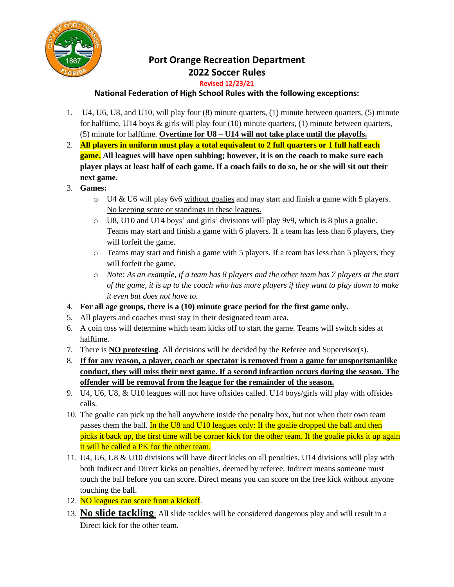

## **Port Orange Recreation Department 2022 Soccer Rules**

## **Revised 12/23/21**

## **National Federation of High School Rules with the following exceptions:**

- 1. U4, U6, U8, and U10, will play four (8) minute quarters, (1) minute between quarters, (5) minute for halftime. U14 boys  $\&$  girls will play four (10) minute quarters, (1) minute between quarters, (5) minute for halftime. **Overtime for U8 – U14 will not take place until the playoffs.**
- 2. **All players in uniform must play a total equivalent to 2 full quarters or 1 full half each game. All leagues will have open subbing; however, it is on the coach to make sure each player plays at least half of each game. If a coach fails to do so, he or she will sit out their next game.**
- 3. **Games:**
	- $\circ$  U4 & U6 will play 6v6 without goalies and may start and finish a game with 5 players. No keeping score or standings in these leagues.
	- o U8, U10 and U14 boys' and girls' divisions will play 9v9, which is 8 plus a goalie. Teams may start and finish a game with 6 players. If a team has less than 6 players, they will forfeit the game.
	- o Teams may start and finish a game with 5 players. If a team has less than 5 players, they will forfeit the game.
	- o *Note: As an example, if a team has 8 players and the other team has 7 players at the start of the game, it is up to the coach who has more players if they want to play down to make it even but does not have to.*
- 4. **For all age groups, there is a (10) minute grace period for the first game only.**
- 5. All players and coaches must stay in their designated team area.
- 6. A coin toss will determine which team kicks off to start the game. Teams will switch sides at halftime.
- 7. There is **NO protesting**. All decisions will be decided by the Referee and Supervisor(s).
- 8. **If for any reason, a player, coach or spectator is removed from a game for unsportsmanlike conduct, they will miss their next game. If a second infraction occurs during the season. The offender will be removal from the league for the remainder of the season.**
- 9. U4, U6, U8, & U10 leagues will not have offsides called. U14 boys/girls will play with offsides calls.
- 10. The goalie can pick up the ball anywhere inside the penalty box, but not when their own team passes them the ball. In the U8 and U10 leagues only: If the goalie dropped the ball and then picks it back up, the first time will be corner kick for the other team. If the goalie picks it up again it will be called a PK for the other team.
- 11. U4, U6, U8 & U10 divisions will have direct kicks on all penalties. U14 divisions will play with both Indirect and Direct kicks on penalties, deemed by referee. Indirect means someone must touch the ball before you can score. Direct means you can score on the free kick without anyone touching the ball.
- 12. NO leagues can score from a kickoff.
- 13. **No slide tackling**: All slide tackles will be considered dangerous play and will result in a Direct kick for the other team.